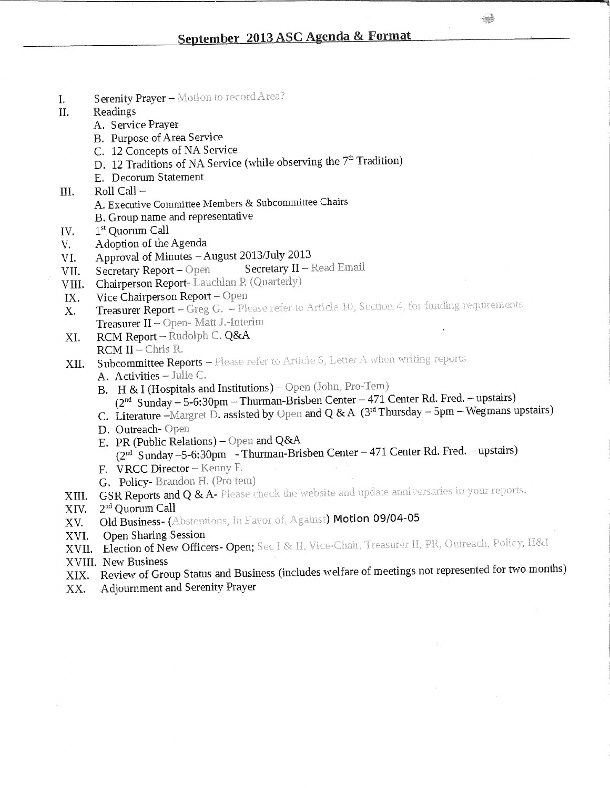- I. Serenity Prayer Motion to record Area?
- II. Readings
	- A. Service Prayer
	- B. Purpose of Area Service
	- C. 12 Concepts of NA Service
	- D. 12 Traditions of NA Service (while observing the  $7^{\mathrm{m}}$  Tradition)
	- E. Decorum Statement
- III.  $\qquad$  Roll Call  $-$ 
	- A. Executive Committee Members & Subcommittee Chairs
	- B. Group name and representative
- IV. 1<sup>st</sup> Quorum Call
- V. Adoption of the Agenda
- 
- VI. Approval of Minutes August 2013/July 2013<br>VII. Secretary Report Open Secretary II Read Email VII. Secretary Report - Open.
- VIII. Chairperson Report- Lauchlan P. (Quarterly)<br>IX. Vice Chairperson Report Open
- 
- IX. Vice Chairperson Report Open<br>X. Treasurer Report Greg G. Please refer to Article 10, Section 4, for funding requirements Treasurer II - Open- Matt J.-Interim
- $TCTAT$   $D$   $T^T$ **XI.** RCM Report – Rudolphe RCM II – Chris R.  $r \rightarrow \infty$
- $R = 1$   $\frac{1}{100}$   $\frac{1}{100}$
- $XII$ . Subcommittee Reports -
	- A. Activities Julie C.<br>B. H & I (Hospitals and Institutions) Open (John, Pro-Tem)
		- $2^{nd}$  Sunday 5-6:30pm Thurman-Brisben Center 471 Center Rd. Fred. upstairs)  $(2 \text{ Sultday} - 5\text{°0.50pm} - \text{I} \text{ null} \text{ and } 0 \text{ g} \cdot \text{A} \text{ (2H) Inverday - 5nm - Weymars)}$
	- C. Literature -Margret D. assisted by Open and Q  $\alpha$ A (3 r marketing  $\alpha$   $\beta$
	- D. Outreach- Open
	- E. PR (Public Relations) Open and Q&A (2<sup>nd</sup> Sunday –5-6:30pm – Thurman-Brisben Center – 471 Center Rd. Fred. – upstalis)
	- F. VRCC Director Kenny F.
	- G. Policy-Brandon H. (Pro tem)
- XIII. GSR Reports and Q & A- Please check the website and update anniversaries in your reports.
- XIV.  $2<sup>nd</sup>$  Quorum Call
- XV. Old Business- (Abstentions, In Favor of, Against) Motion 09/04-05
- XVI. Open Sharing Session
- XVII. Election of New Officers- Open;
- XVIII. New Business
- XIX . Review of Group Status and Business (includes welfare of meetings not represented for two months)
- X X . Adjournment and Serenity Prayer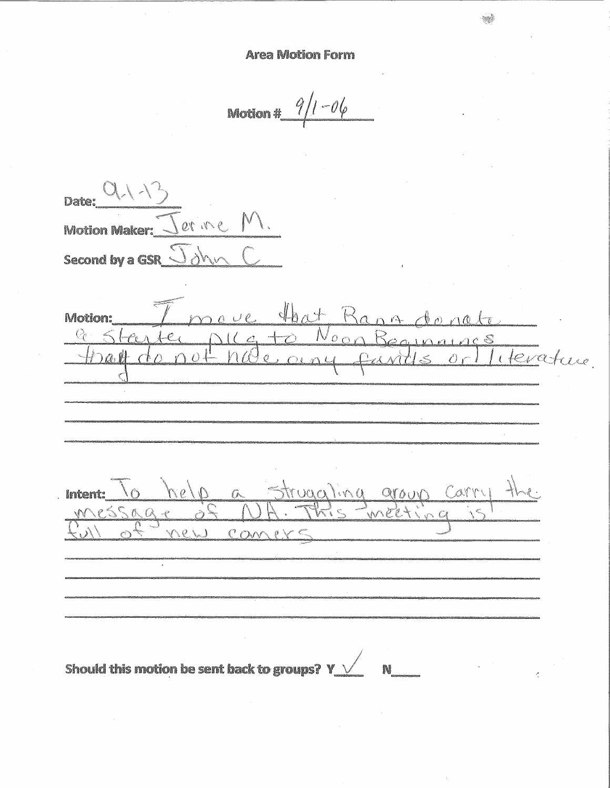$1 - 06$  $9<sub>1</sub>$ Motion #

| Date:                  |                                                                                                                                                                                                                                      |  |  |
|------------------------|--------------------------------------------------------------------------------------------------------------------------------------------------------------------------------------------------------------------------------------|--|--|
| <b>Motion Maker:</b>   |                                                                                                                                                                                                                                      |  |  |
| <b>Second by a GSR</b> |                                                                                                                                                                                                                                      |  |  |
|                        |                                                                                                                                                                                                                                      |  |  |
| Motion:                | <b>The Contract of Contract of Contract of Contract of Contract of Contract of Contract of Contract of Contract of Contract of Contract of Contract of Contract of Contract of Contract of Contract of Contract of Contract of C</b> |  |  |

onato  $n +$  $N_{000}$  $25 -$  $\overrightarrow{C}$  $(a +$ s<br>literature.  $n\Omega$ e  $\partial \omega$ l  $\bigcap$   $O$  $\triangle$ struggling group Carry  $O/8n$ Intent:  $C$  $\overline{N}$ Comer nei Should this motion be sent back to groups?  $Y \rightarrow$ **N**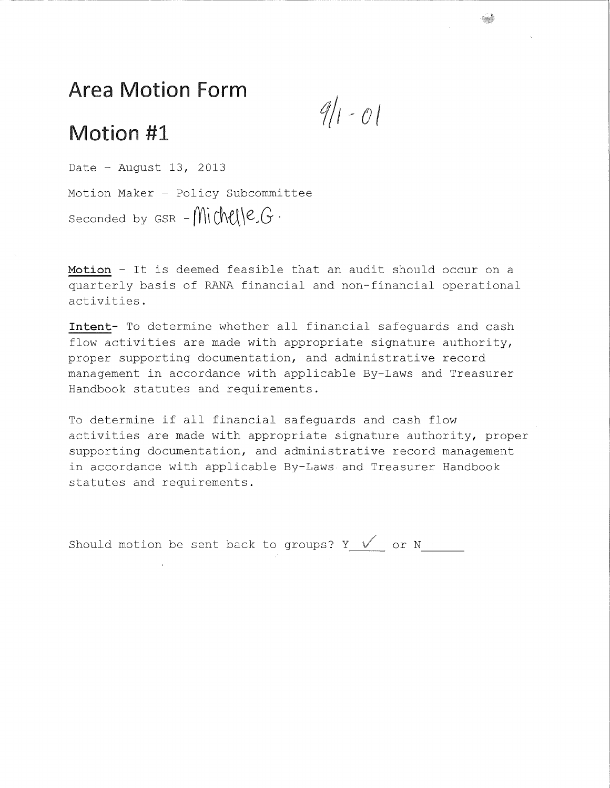*f/i-ol* 

## Motion #1

Date - August 13, 2013 Motion Maker - Policy Subcommittee Seconded by  $GSR - \text{MidM}(C/G)$ .

Motion - It is deemed feasible that an audit should occur on a quarterly basis of RANA financial and non-financial operational activities .

Intent- To determine whether all financial safeguards and cash flow activities are made with appropriate signature authority, proper supporting documentation, and administrative record management in accordance with applicable By-Laws and Treasurer Handbook statutes and requirements.

To determine if all financial safequards and cash flow activities are made with appropriate signature authority, proper supporting documentation, and administrative record management in accordance with applicable By-Laws and Treasurer Handbook statutes and requirements.

Should motion be sent back to groups? Y  $\sqrt{2}$  or N Should do motion that the sense that the sense that the sense that the sense that the sense that the sense that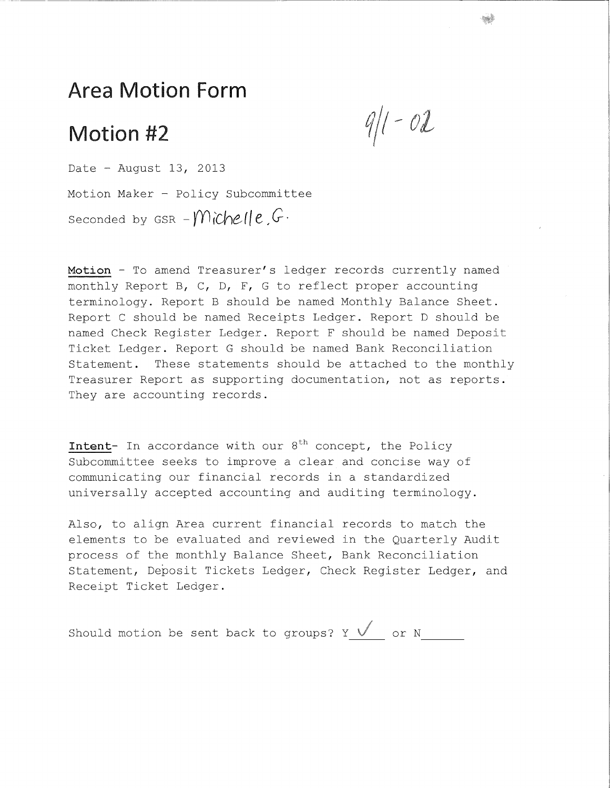# Motion #2

 $9/1 - 02$ 

Date - August 13, 2013 Motion Maker - Policy Subcommittee Seconded by  $GSR - M\hat{c}$   $he$   $l$   $e$  ,  $G$ .

Motion - To amend Treasurer's ledger records currently named monthly Report B, C, D, F, G to reflect proper accounting terminology. Report B should be named Monthly Balance Sheet. Report C should be named Receipts Ledger. Report D should be named Check Register Ledger. Report F should be named Deposit Ticket Ledger. Report G should be named Bank Reconciliation Statement. These statements should be attached to the monthly Treasurer Report as supporting documentation, not as reports. They are accounting records.

**Intent**- In accordance with our 8<sup>th</sup> concept, the Policy Subcommittee seeks to improve a clear and concise way of communicating our financial records in a standardized universally accepted accounting and auditing terminology.

Also, to align Area current financial records to match the elements to be evaluated and reviewed in the Quarterly Audit process of the monthly Balance Sheet, Bank Reconciliation Statement, Deposit Tickets Ledger, Check Register Ledger, and Receipt Ticket Ledger.

Should motion be sent back to groups?  $Y \longleftarrow$  or N\_\_\_\_\_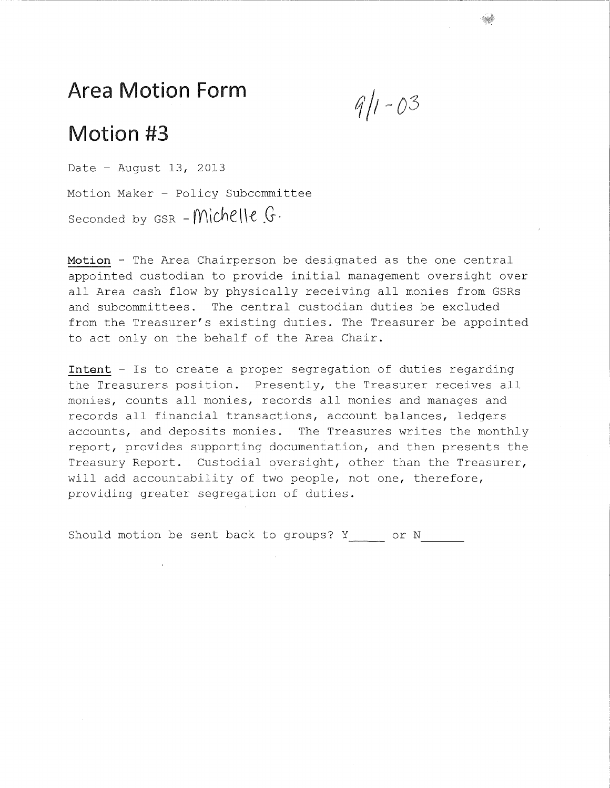$9/1 - 03$ 

# Motion #3

Date - August 13, 2013 Motion Maker - Policy Subcommittee Seconded by  $GSR - \text{Michelle } G$ .

Motion - The Area Chairperson be designated as the one central appointed custodian to provide initial management oversight over all Area cash flow by physically receiving all monies from GSRs and subcommittees. The central custodian duties be excluded from the Treasurer's existing duties. The Treasurer be appointed to act only on the behalf of the Area Chair.

**Intent** - Is to create a proper segregation of duties regarding the Treasurers position. Presently, the Treasurer receives all monies, counts all monies, records all monies and manages and records all financial transactions, account balances, ledgers accounts, and deposits monies. The Treasures writes the monthly report, provides supporting documentation, and then presents the Treasury Report. Custodial oversight, other than the Treasurer, will add accountability of two people, not one, therefore, providing greater segregation of duties.

Should motion be sent back to groups?  $Y$  or  $N$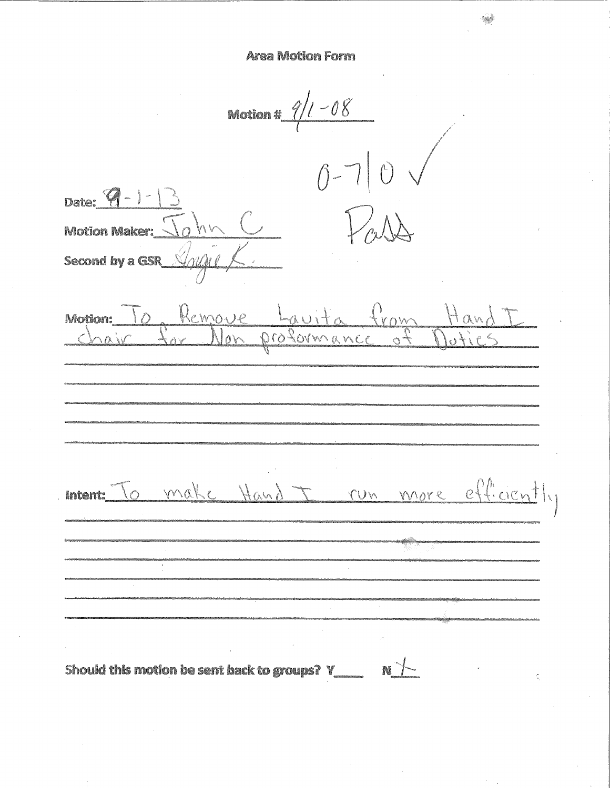Motion #  $9/1 - 08$  $0-70$ Date:  $\mathcal{G}$  -  $\vert$  -**Motion Maker:** Second by a GSR Remove Lauita from Hand I Motion:  $\overline{\ }$  0 ment: To make Hand I run more efficiently Should this motion be sent back to groups?  $Y_{\text{max}} = N$ Ł.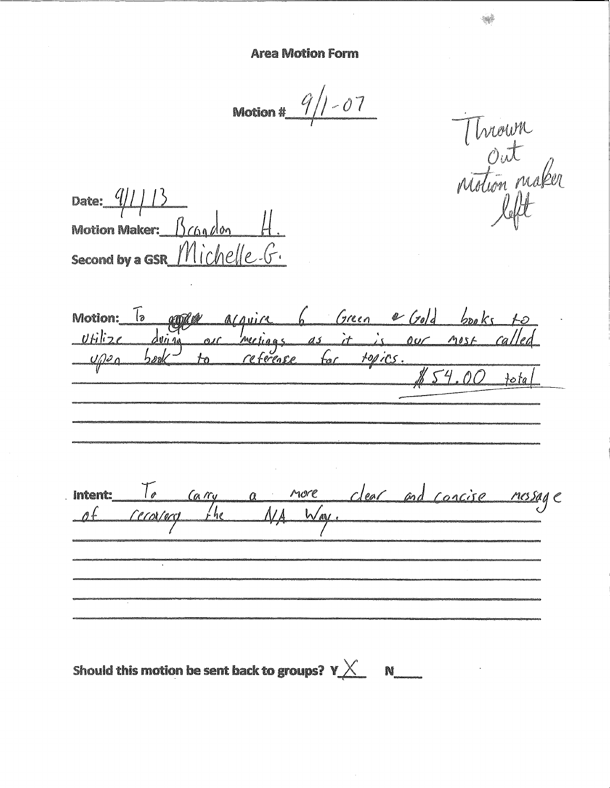Motion #  $9/1 - 07$ 

Thrown<br>Out<br>notion maker

Date:  $\frac{q}{1}$ Motion Maker:  $\beta$  (60 /00 second by a GSR Michelle. G.

copper acquire 6 Green e Gold books to Motion:  $\boxed{b}$  $Ufilize$  $\sqrt{\rho^2}$ Intent: To carry a nore clear and concise message<br>of recovery the NA Way.

Should this motion be sent back to groups?  $\mathsf{Y}\underline{\times} \quad \mathsf{N}\underline{\hspace{2cm}}$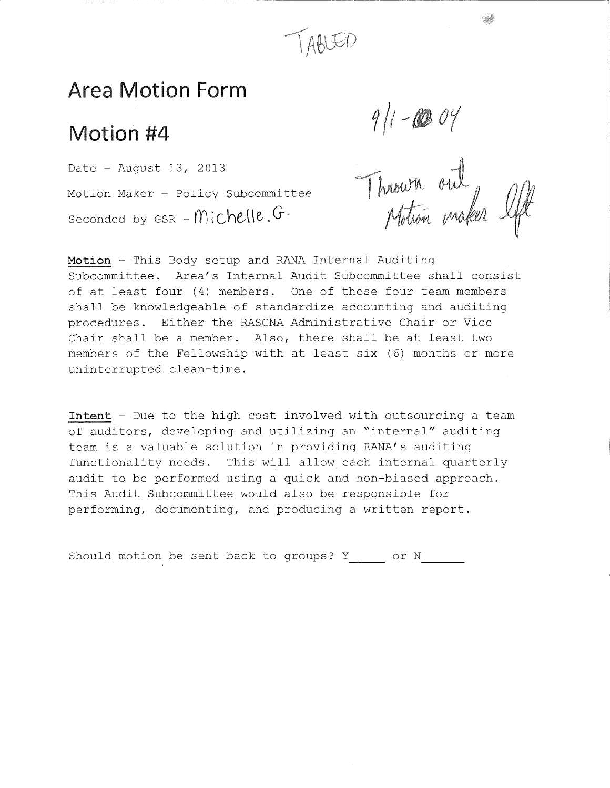

## Motion #4

Motion Maker - Policy Subcommittee Date - August 13, 2013 Seconded by GSR -  $Michelle.G$ 

9/1-0004<br>Thrown out<br>Motion maker I

Motion - This Body setup and RANA Internal Auditing Subcommittee. Area's Internal Audit Subcommittee shall consist of at least four (4) members. One of these four team members shall be knowledgeable of standardize accounting and auditing procedures. Either the RASCNA Administrative Chair or Vice Chair shall be a member. Also, there shall be at least two members of the Fellowship with at least six (6) months or more uninterrupted clean-time.

**Intent** - Due to the high cost involved with outsourcing a team of auditors, developing and utilizing an "internal" auditing team is a valuable solution in providing RANA's auditing functionality needs. This will allow each internal quarterly audit to be performed using a quick and non-biased approach. This Audit Subcommittee would also be responsible for performing, documenting, and producing a written report.

Should motion be sent back to groups? Y or N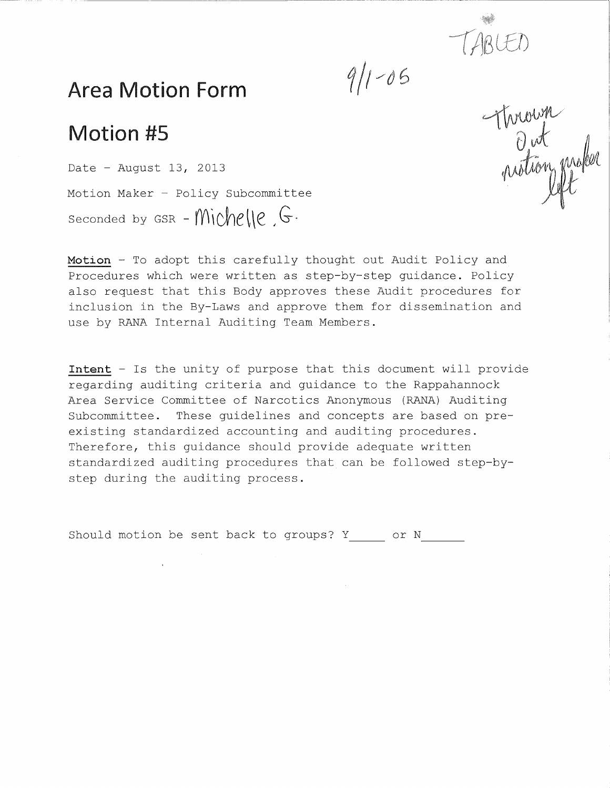

 $9/1 - 05$ 

## Area Motion Form

# Motion #5

Date - August 13, 2013 Motion Maker - Policy Subcommittee Seconded by GSR - Michelle,  $G$ .

Motion - To adopt this carefully thought out Audit Policy and Procedures which were written as step-by-step quidance. Policy also request that this Body approves these Audit procedures for inclusion in the By-Laws and approve them for dissemination and use by RANA Internal Auditing Team Members.

**Intent** - Is the unity of purpose that this document will provide regarding auditing criteria and guidance to the Rappahannock Area Service Committee of Narcotics Anonymous (RANA) Auditing Subcommittee. These guidelines and concepts are based on preexisting standardized accounting and auditing procedures. Therefore, this guidance should provide adequate written standardized auditing procedures that can be followed step-bystep during the auditing process.

Should motion be sent back to groups? Y or N

Thrown<br>Out<br>notion maker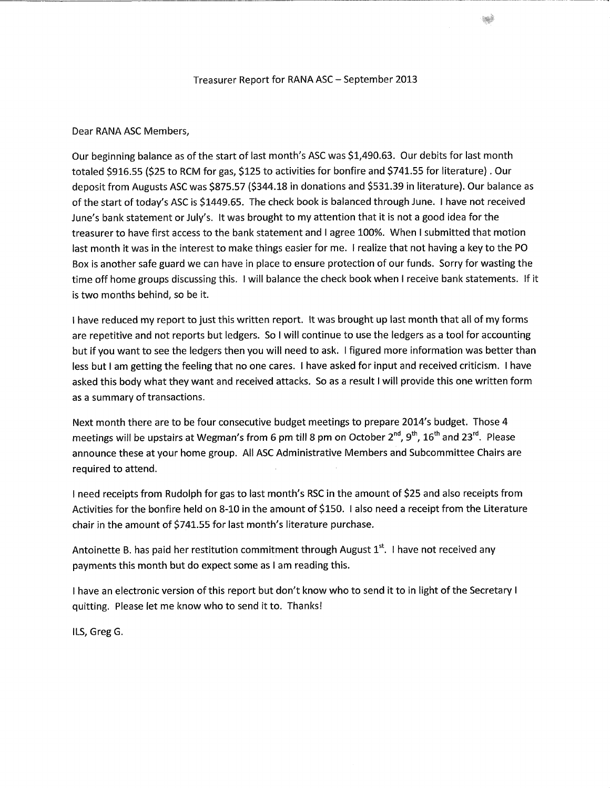#### Treasurer Report for RANA ASC - September 2013

#### Dear RANA ASC Members,

Our beginning balance as of the start of last month's ASC was \$1,490.63. Our debits for last month totaled \$916.55 (\$25 to RCM for gas, \$125 to activities for bonfire and \$741.55 for literature). Our deposit from Augusts ASC was \$875.57 (\$344.18 in donations and \$531.39 in literature). Our balance as of the start of today's ASC is \$1449.65. The check book is balanced through June. I have not received June's bank statement or July's. It was brought to my attention that it is not a good idea for the treasurer to have first access to the bank statement and I agree 100%. When I submitted that motion last month it was in the interest to make things easier for me. I realize that not having a key to the PO Box is another safe guard we can have in place to ensure protection of our funds. Sorry for wasting the time off home groups discussing this. I will balance the check book when I receive bank statements. If it is two months behind, so be it.

I have reduced my report to just this written report. It was brought up last month that all of my forms are repetitive and not reports but ledgers. So I will continue to use the ledgers as a tool for accounting but if you want to see the ledgers then you will need to ask. I figured more information was better than less but I am getting the feeling that no one cares. I have asked for input and received criticism. I have asked this body what they want and received attacks. So as a result I will provide this one written form as a summary of transactions.

Next month there are to be four consecutive budget meetings to prepare 2014's budget. Those 4 meetings will be upstairs at Wegman's from 6 pm till 8 pm on October 2"", 9"', 16" and 23". Please announce these at your home group. All ASC Administrative Members and Subcommittee Chairs are required to attend.

I need receipts from Rudolph for gas to last month's RSC in the amount of \$25 and also receipts from Activities for the bonfire held on 8-10 in the amount of \$150. I also need a receipt from the Literature chair in the amount of \$741.55 for last month's literature purchase.

Antoinette B. has paid her restitution commitment through August 1<sup>s.</sup>. I have not received any payments this month but do expect some as I am reading this.

I have an electronic version of this report but don't know who to send it to in light of the Secretary I quitting. Please let me know who to send it to. Thanks!

ILS, Greg G.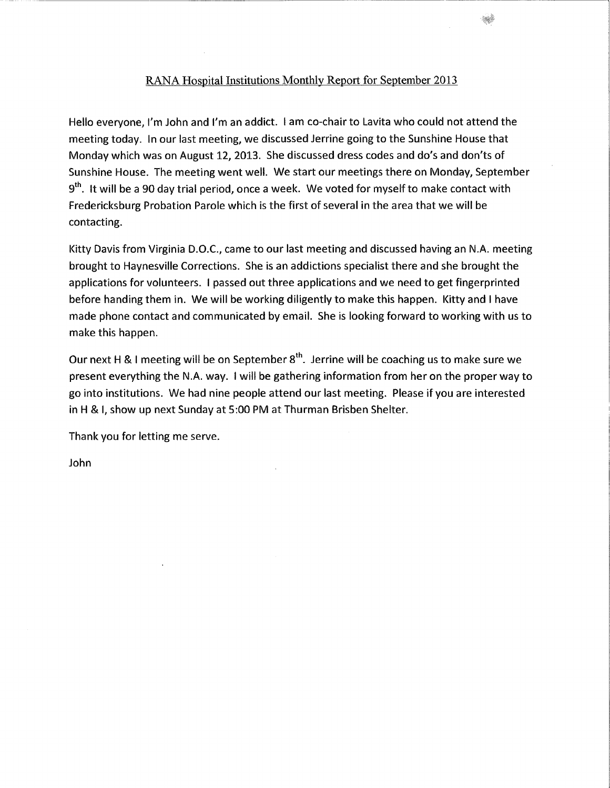#### RANA Hospital Institutions Monthly Report for September 2013

Hello everyone, I'm John and I'm an addict. I am co-chair to Lavita who could not attend the meeting today. In our last meeting, we discussed Jerrine going to the Sunshine House that Monday which was on August 12, 2013. She discussed dress codes and do's and don'ts of Sunshine House. The meeting went well. We start our meetings there on Monday, September 9"'. It will be a 90 day trial period, once a week. We voted for myself to make contact with Fredericksburg Probation Parole which is the first of several in the area that we will be contacting.

Kitty Davis from Virginia D.O.C., came to our last meeting and discussed having an N.A. meeting brought to Haynesville Corrections. She is an addictions specialist there and she brought the applications for volunteers. I passed out three applications and we need to get fingerprinted before handing them in. We will be working diligently to make this happen. Kitty and I have made phone contact and communicated by email. She is looking forward to working with us to make this happen.

Our next H & I meeting will be on September 8"'. Jerrine will be coaching us to make sure we present everything the N.A. way. I will be gathering information from her on the proper way to go into institutions. We had nine people attend our last meeting. Please if you are interested in H & I, show up next Sunday at 5:00 PM at Thurman Brisben Shelter.

Thank you for letting me serve.

John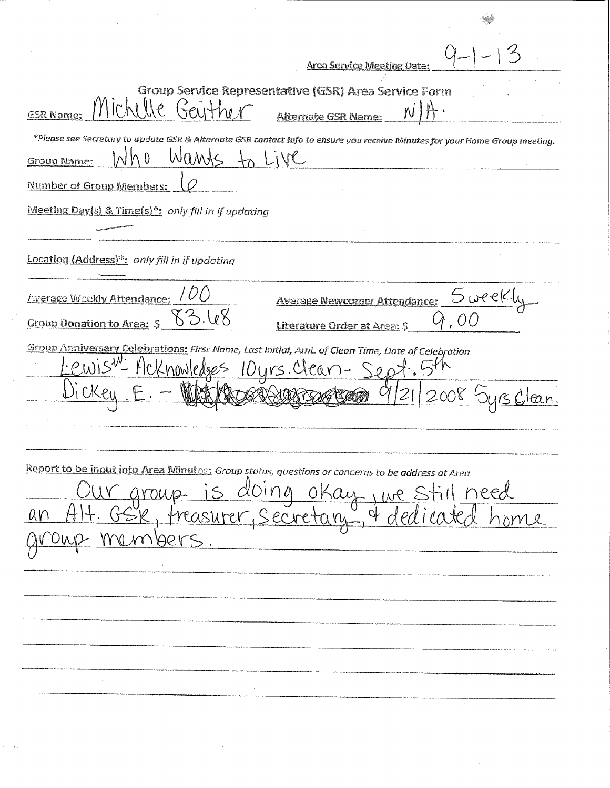| <b>Area Service Meeting Date:</b>                                                                                                                                  |      |
|--------------------------------------------------------------------------------------------------------------------------------------------------------------------|------|
| Group Service Representative (GSR) Area Service Form<br>Michelle Grithor<br><b>GSR Name:</b><br><b>Alternate GSR Name:</b>                                         |      |
| *Please see Secretary to update GSR & Alternate GSR contact info to ensure you receive Minutes for your Home Group meeting.<br>Wants<br>Live<br><b>Group Name:</b> |      |
| Number of Group Members:                                                                                                                                           |      |
| Meeting Day(s) & Time(s)*: only fill in if updating                                                                                                                |      |
| Location (Address)*: only fill in if updating                                                                                                                      |      |
| S week<br><b>Average Weekly Attendance:</b><br><b>Average Newcomer Attendance:</b><br>33.IoX<br><b>Group Donation to Area:</b><br>Literature Order at Area: \$     |      |
| Group Anniversary Celebrations: First Name, Last Initial, Amt. of Clean Time, Date of Celebration<br>Hcknowledges 10 yrs. Clean-Sept                               |      |
|                                                                                                                                                                    |      |
| Report to be input into Area Minutes: Group status, questions or concerns to be address at Area<br><u>doing okay, we</u><br>Sk, freasurer, Secretary, & de         | need |
|                                                                                                                                                                    |      |
|                                                                                                                                                                    |      |
|                                                                                                                                                                    |      |
|                                                                                                                                                                    |      |
|                                                                                                                                                                    |      |

 $\label{eq:2} \hat{S}^{(1)} = \hat{S}^{(2)} \hat{S}^{(1)} \hat{S}^{(1)} \hat{S}^{(1)}$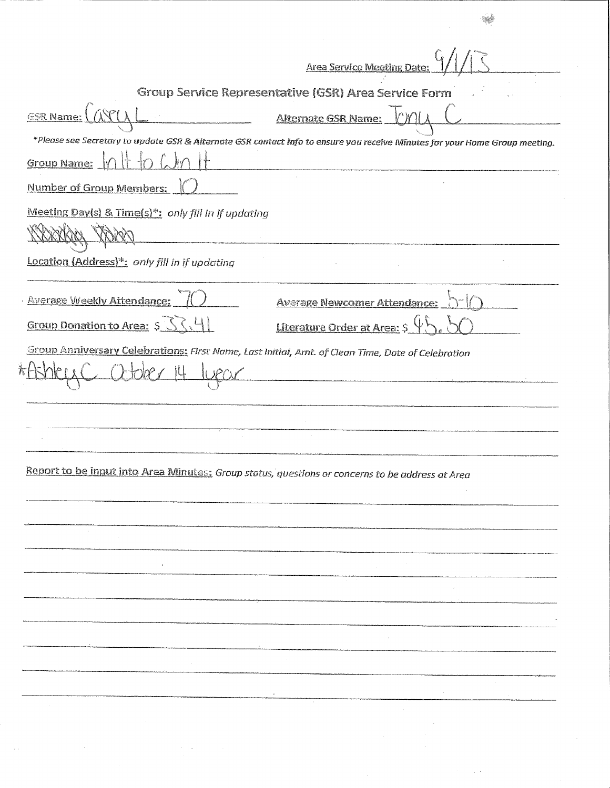|                                                                                                 | <b>Area Service Meeting Date:</b>                                                                                           |
|-------------------------------------------------------------------------------------------------|-----------------------------------------------------------------------------------------------------------------------------|
|                                                                                                 | Group Service Representative (GSR) Area Service Form                                                                        |
| <b>ESR Name:</b>                                                                                | LMC<br><b>Alternate GSR Name:</b>                                                                                           |
|                                                                                                 | *Please see Secretary to update GSR & Alternate GSR contact info to ensure you receive Minutes for your Home Group meeting. |
| <b>Group Name:</b>                                                                              |                                                                                                                             |
| Number of Group Members:                                                                        |                                                                                                                             |
| Meeting Day(s) & Time(s)*: only fill in if updating                                             |                                                                                                                             |
|                                                                                                 |                                                                                                                             |
| Location (Address)*: only fill in if updating                                                   |                                                                                                                             |
| <b>Average Weekly Attendance:</b>                                                               | <b>Average Newcomer Attendance:</b>                                                                                         |
| Group Donation to Area: S                                                                       | Literature Order at Area: \$                                                                                                |
|                                                                                                 |                                                                                                                             |
| Report to be input into Area Minutes: Group status, questions or concerns to be address at Area |                                                                                                                             |
|                                                                                                 |                                                                                                                             |
|                                                                                                 |                                                                                                                             |
|                                                                                                 |                                                                                                                             |
|                                                                                                 |                                                                                                                             |
|                                                                                                 |                                                                                                                             |
|                                                                                                 |                                                                                                                             |
|                                                                                                 |                                                                                                                             |
|                                                                                                 |                                                                                                                             |
|                                                                                                 |                                                                                                                             |
|                                                                                                 |                                                                                                                             |
|                                                                                                 |                                                                                                                             |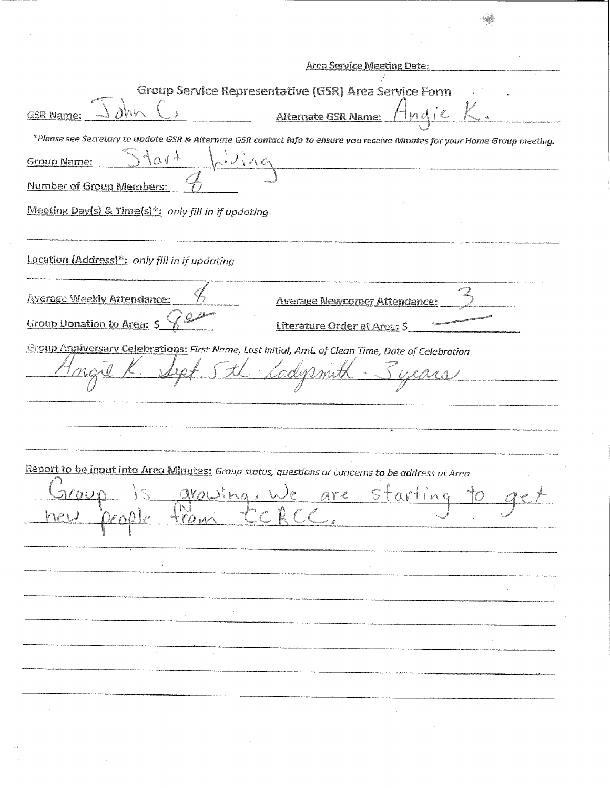| <b>Area Service Meeting Date:</b>                                                                                           |
|-----------------------------------------------------------------------------------------------------------------------------|
| Group Service Representative (GSR) Area Service Form                                                                        |
| <b>Alternate GSR Name:</b><br>Indie<br><b>GSR Name:</b>                                                                     |
| *Please see Secretary to update GSR & Alternate GSR contact info to ensure you receive Minutes for your Home Group meeting. |
| NVina<br>$+101$<br><b>Group Name:</b>                                                                                       |
| Number of Group Members:                                                                                                    |
| Meeting Day(s) & Time(s)*: only fill in if updating                                                                         |
|                                                                                                                             |
| Location (Address)*: only fill in if updating                                                                               |
| <b>Average Weekly Attendance:</b><br><b>Average Newcomer Attendance:</b>                                                    |
| Group Donation to Area: \$<br>Literature Order at Area: \$                                                                  |
| Group Anniversary Celebrations: First Name, Last Initial, Amt. of Clean Time, Date of Celebration                           |
|                                                                                                                             |
|                                                                                                                             |
| Report to be input into Area Minutes: Group status, questions or concerns to be address at Area                             |
|                                                                                                                             |
| is growing, we are starting to<br><u>Laroug</u>                                                                             |
|                                                                                                                             |
|                                                                                                                             |
|                                                                                                                             |
|                                                                                                                             |
|                                                                                                                             |
|                                                                                                                             |
|                                                                                                                             |
|                                                                                                                             |
|                                                                                                                             |
|                                                                                                                             |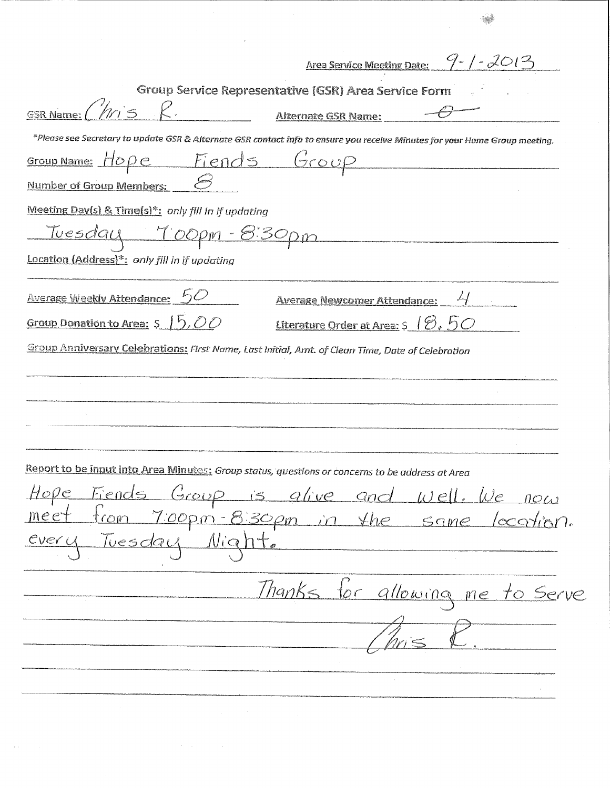| <u>Area Service Meeting Date: <math>9 - (-2013)</math></u>                                                                  |
|-----------------------------------------------------------------------------------------------------------------------------|
| Group Service Representative (GSR) Area Service Form                                                                        |
| <b>GSR Name:</b><br>Alternate GSR Name:                                                                                     |
| *Please see Secretary to update GSR & Alternate GSR contact info to ensure you receive Minutes for your Home Group meeting. |
| Fiends Group<br>Group Name: $H\ddot{o}\rho\dot{e}$                                                                          |
| Number of Group Members:                                                                                                    |
|                                                                                                                             |
| Meeting Day(s) & Time(s)*: only fill in if updating                                                                         |
| <u>Tuesday 7:00pm - 8:30pm</u>                                                                                              |
| Location (Address)*: only fill in if updating                                                                               |
| <b>Average Weekly Attendance:</b><br><b>Average Newcomer Attendance:</b>                                                    |
| Group Donation to Area: $5/6.00$<br>Literature Order at Area: $\varsigma$ $\beta$ , $5\circ$                                |
| Group Anniversary Celebrations: First Name, Last Initial, Amt. of Clean Time, Date of Celebration                           |
|                                                                                                                             |
|                                                                                                                             |
|                                                                                                                             |
|                                                                                                                             |
|                                                                                                                             |
| Report to be input into Area Minutes: Group status, questions or concerns to be address at Area                             |
| Hope Fiends Group is alive and well. We now                                                                                 |
| meet from 7.00pm-8.30pm in the same location.                                                                               |
| every Tuesday Night.                                                                                                        |
|                                                                                                                             |
|                                                                                                                             |
| Thanks for allowing me to serve                                                                                             |
|                                                                                                                             |
|                                                                                                                             |
|                                                                                                                             |
|                                                                                                                             |
|                                                                                                                             |

 $\label{eq:2} \mathcal{L}^{\text{max}}(\mathbf{z},\mathbf{z}) = \mathcal{L}^{\text{max}}(\mathbf{z},\mathbf{z})$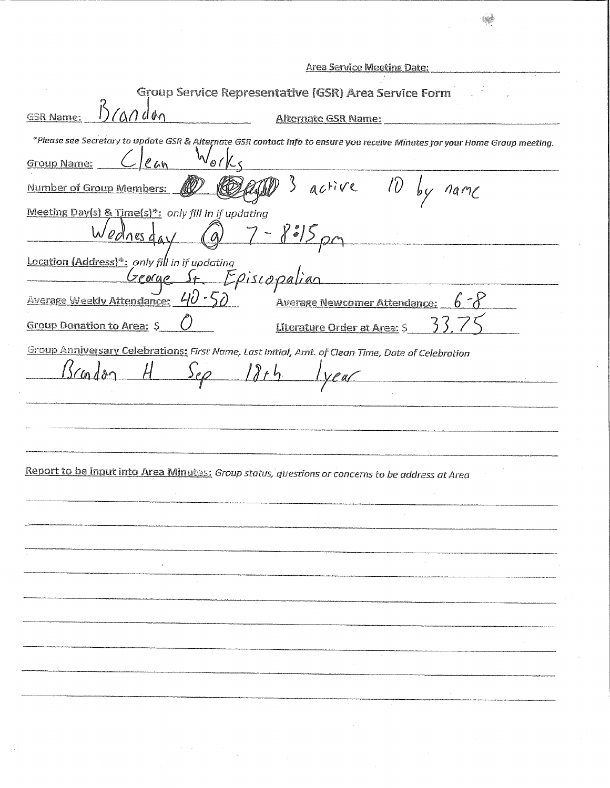| <b>Area Service Meeting Date:</b>                                                                                           |
|-----------------------------------------------------------------------------------------------------------------------------|
| Group Service Representative (GSR) Area Service Form                                                                        |
| $M$ dan<br><b>GSR Name:</b><br><b>Alternate GSR Name:</b>                                                                   |
| *Please see Secretary to update GSR & Alternate GSR contact info to ensure you receive Minutes for your Home Group meeting. |
| $\circ$ (<br>em<br>Group Name:                                                                                              |
| $10\,$ by<br>$3$ active<br>Number of Group Members:<br>na mL                                                                |
| Meeting Day(s) & Time(s)*: only fill in if updating<br>Wednesday                                                            |
| Location (Address)*: only fill in if updating<br>George St. Episcopal                                                       |
| Average Weekly Attendance: 40 - 5<br><b>Average Newcomer Attendance:</b>                                                    |
| <b>Group Donation to Area: S</b><br>Literature Order at Area: \$                                                            |
| Group Anniversary Celebrations: First Name, Last Initial, Amt. of Clean Time, Date of Celebration<br>Con                    |
| Report to be input into Area Minutes: Group status, questions or concerns to be address at Area                             |
|                                                                                                                             |
|                                                                                                                             |
|                                                                                                                             |
|                                                                                                                             |
|                                                                                                                             |
|                                                                                                                             |
|                                                                                                                             |
|                                                                                                                             |
|                                                                                                                             |
|                                                                                                                             |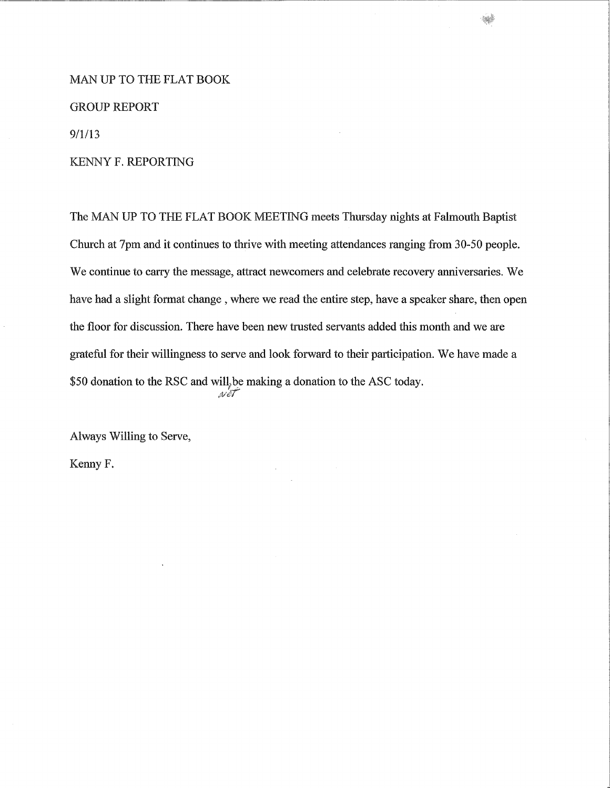#### MAN **UP TO THE** FLAT **BOOK**

#### **GROUP REPORT**

9/1/13

#### KENNY F. REPORTING

The MAN UP TO THE FLAT BOOK MEETING meets Thursday nights at Falmouth Baptist Church at 7pm and it continues to thrive with meeting attendances ranging from 30-50 people. We continue to carry the message, attract newcomers and celebrate recovery anniversaries. We have had a slight format change , where we read the entire step, have a speaker share, then open the floor for discussion. There have been new trusted servants added this month and we are grateful for their willingness to serve and look forward to their participation. We have made a \$50 donation to the RSC and will, be making a donation to the ASC today.  $_{\mathcal{N}}$ è

Always Willing to Serve,

Kenny F.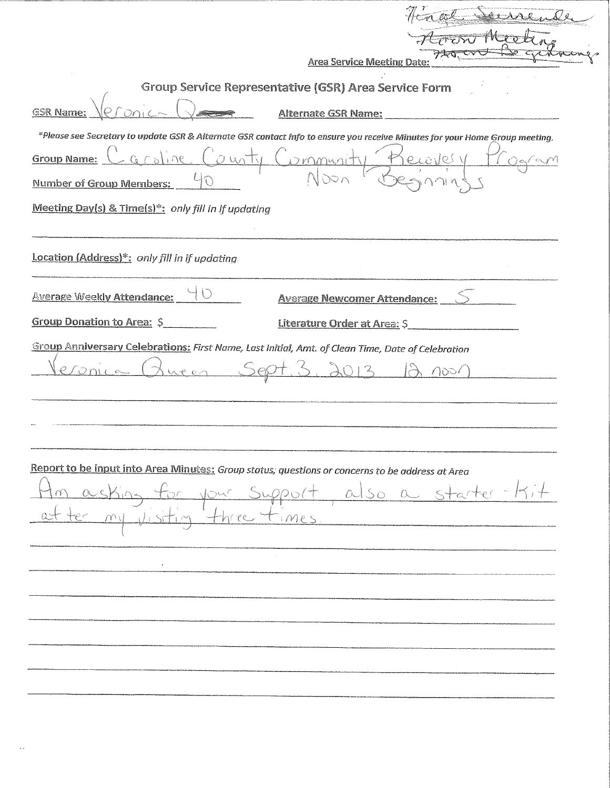| <b>Area Service Meeting Date:</b>                                                                                                                                                                                                                                                 |
|-----------------------------------------------------------------------------------------------------------------------------------------------------------------------------------------------------------------------------------------------------------------------------------|
| Group Service Representative (GSR) Area Service Form                                                                                                                                                                                                                              |
| Alternate GSR Name:<br><b>GSR Name:</b><br>and the contract of the company of the contract of                                                                                                                                                                                     |
| *Please see Secretary to update GSR & Alternate GSR contact info to ensure you receive Minutes for your Home Group meeting.<br><u>- Groline</u><br>0.45<br><b>Group Name:</b><br>DMMUNI<br><b>Number of Group Members:</b><br>Meeting Day(s) & Time(s)*: only fill in if updating |
| Location (Address)*: only fill in if updating                                                                                                                                                                                                                                     |
| <b>Average Weekly Attendance:</b><br><b>Average Newcomer Attendance:</b>                                                                                                                                                                                                          |
| <b>Group Donation to Area: \$</b><br>Literature Order at Area: \$                                                                                                                                                                                                                 |
| $\bigcap_{i\in\mathbb{N}}$<br>$\mathcal{A}$ $\mathcal{C}$ $\mathcal{C}$ $\mathcal{C}$                                                                                                                                                                                             |
| Report to be input into Area Minutes: Group status; questions or concerns to be address at Area<br>Support, also a starter-Kit<br>three times.                                                                                                                                    |
|                                                                                                                                                                                                                                                                                   |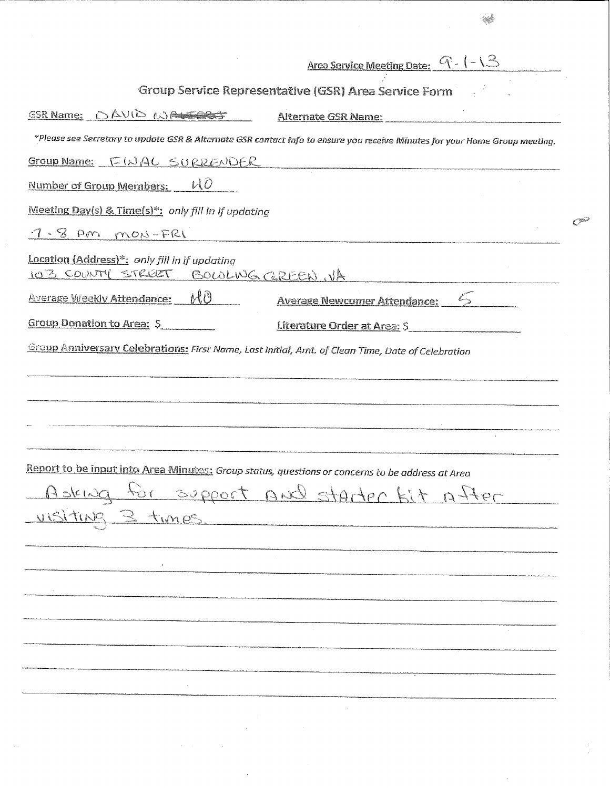| <u>Area Service Meeting Date: <math>Q - (-1)</math></u>                                                                     |
|-----------------------------------------------------------------------------------------------------------------------------|
| Group Service Representative (GSR) Area Service Form                                                                        |
| <b>ESR Name: DAVID WALERS</b><br><b>Alternate GSR Name:</b>                                                                 |
| *Please see Secretary to update GSR & Alternate GSR contact info to ensure you receive Minutes for your Home Group meeting. |
| Group Name: FWAL SURRENDER                                                                                                  |
| UÕ<br>Number of Group Members:                                                                                              |
| Meeting Day(s) & Time(s)*: only fill in if updating                                                                         |
| $7 - 8$ PM mON-FRI                                                                                                          |
| Location (Address)*: only fill in if updating<br>103 COUNTY STREET<br>BOWLWG GREEN, VA                                      |
| HÒ.<br><b>Average Weekly Attendance:</b><br><b>Average Newcomer Attendance:</b>                                             |
| Group Donation to Area: S<br>Literature Order at Area: \$                                                                   |
| Group Anniversary Celebrations: First Name, Last Initial, Amt. of Clean Time, Date of Celebration                           |
|                                                                                                                             |
|                                                                                                                             |
|                                                                                                                             |
|                                                                                                                             |
| Report to be input into Area Minutes: Group status, questions or concerns to be address at Area                             |
| ofthe tid jotate bun tooggee of punich                                                                                      |
| uisitus 3 times                                                                                                             |
|                                                                                                                             |
|                                                                                                                             |
|                                                                                                                             |
|                                                                                                                             |
|                                                                                                                             |
|                                                                                                                             |
|                                                                                                                             |
|                                                                                                                             |
|                                                                                                                             |
|                                                                                                                             |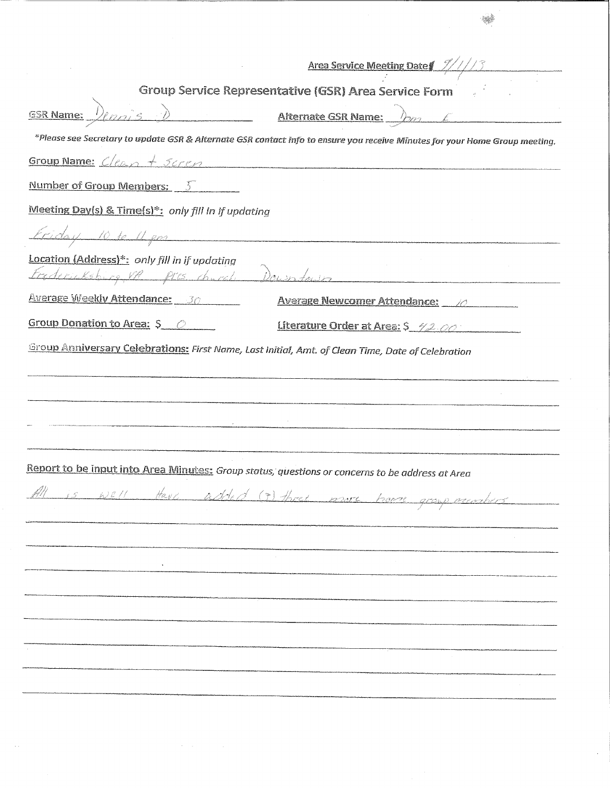|                                                                                                                     | Area Service Meeting Date                                                                                                   |
|---------------------------------------------------------------------------------------------------------------------|-----------------------------------------------------------------------------------------------------------------------------|
|                                                                                                                     | Group Service Representative (GSR) Area Service Form                                                                        |
| <b>GSR Name:</b> $D_{\ell}$                                                                                         | <b>Alternate GSR Name:</b> $\lambda_{22}$                                                                                   |
|                                                                                                                     | *Please see Secretary to update GSR & Alternate GSR contact info to ensure you receive Minutes for your Home Group meeting. |
| Group Name: Clean + Scren                                                                                           |                                                                                                                             |
| <u>Number of Group Members: <math>5</math></u>                                                                      |                                                                                                                             |
| Meeting Day(s) & Time(s)*: only fill in if updating                                                                 |                                                                                                                             |
| Etiday 10 te 11 gm                                                                                                  |                                                                                                                             |
| Location (Address)*: only fill in if updating<br>Fredericksburg VP Pris Concel Down to                              |                                                                                                                             |
| Average Weekly Attendance: 30                                                                                       | Average Newcomer Attendance: 10                                                                                             |
| Group Donation to Area: S 0                                                                                         | Literature Order at Area: \$ 42.00                                                                                          |
| Group Anniversary Celebrations: First Name, Last Initial, Amt. of Clean Time, Date of Celebration                   |                                                                                                                             |
|                                                                                                                     |                                                                                                                             |
|                                                                                                                     |                                                                                                                             |
| .<br>Microsoft very jaronanskalainen viimin myös saanikkeelen konsumin arakoksussaan konsumin konsumin konsumin ara |                                                                                                                             |
|                                                                                                                     |                                                                                                                             |
|                                                                                                                     |                                                                                                                             |
| Report to be input into Area Minutes: Group status, questions or concerns to be address at Area                     |                                                                                                                             |
| is well Have added (?) three more have                                                                              | 12201°C                                                                                                                     |
|                                                                                                                     |                                                                                                                             |
|                                                                                                                     |                                                                                                                             |
|                                                                                                                     |                                                                                                                             |
|                                                                                                                     |                                                                                                                             |
|                                                                                                                     |                                                                                                                             |
|                                                                                                                     |                                                                                                                             |
|                                                                                                                     |                                                                                                                             |
|                                                                                                                     |                                                                                                                             |
|                                                                                                                     |                                                                                                                             |

 $\bar{\lambda}$  ,

 $\hat{\mathcal{A}}$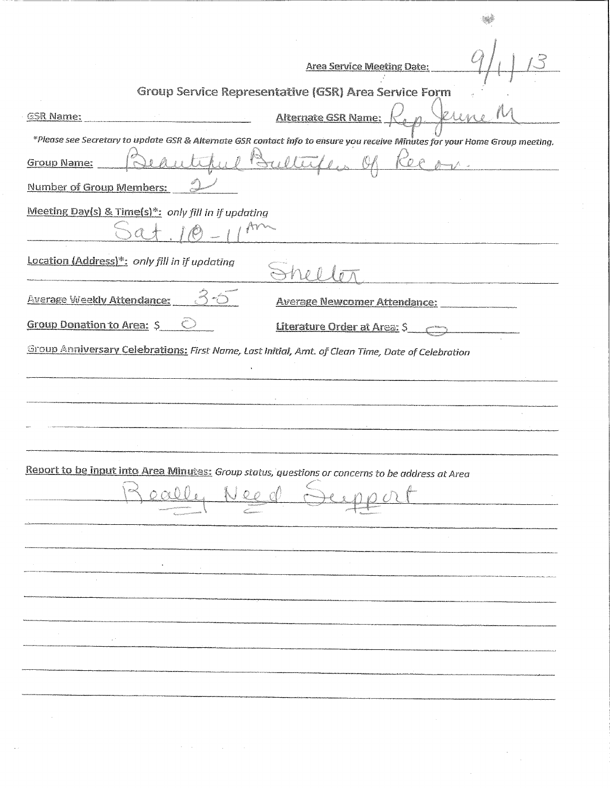|                                                |                                                     | <b>Area Service Meeting Date:</b>                                                                                                                                                                    |  |
|------------------------------------------------|-----------------------------------------------------|------------------------------------------------------------------------------------------------------------------------------------------------------------------------------------------------------|--|
|                                                |                                                     | Group Service Representative (GSR) Area Service Form                                                                                                                                                 |  |
| <b>GSR Name:</b>                               |                                                     | Alternate GSR Name:                                                                                                                                                                                  |  |
| <b>Group Name:</b><br>Number of Group Members: |                                                     | *Please see Secretary to update GSR & Alternate GSR contact info to ensure you receive Minutes for your Home Group meeting.                                                                          |  |
|                                                | Meeting Day(s) & Time(s)*: only fill in if updating |                                                                                                                                                                                                      |  |
|                                                | Location (Address)*: only fill in if updating       |                                                                                                                                                                                                      |  |
| <b>Average Weekly Attendance:</b>              |                                                     | <b>Average Newcomer Attendance:</b>                                                                                                                                                                  |  |
| Group Donation to Area: \$                     |                                                     | Literature Order at Area: \$                                                                                                                                                                         |  |
|                                                |                                                     | Group Anniversary Celebrations: First Name, Last Initial, Amt. of Clean Time, Date of Celebration<br>Report to be input into Area Minutes: Group status, questions or concerns to be address at Area |  |
|                                                |                                                     |                                                                                                                                                                                                      |  |
|                                                |                                                     |                                                                                                                                                                                                      |  |
|                                                |                                                     |                                                                                                                                                                                                      |  |
|                                                |                                                     |                                                                                                                                                                                                      |  |
|                                                |                                                     |                                                                                                                                                                                                      |  |
|                                                |                                                     |                                                                                                                                                                                                      |  |
|                                                | $\lambda^{-1}$                                      |                                                                                                                                                                                                      |  |
|                                                |                                                     |                                                                                                                                                                                                      |  |
|                                                |                                                     |                                                                                                                                                                                                      |  |
|                                                |                                                     |                                                                                                                                                                                                      |  |
|                                                |                                                     |                                                                                                                                                                                                      |  |
|                                                |                                                     |                                                                                                                                                                                                      |  |